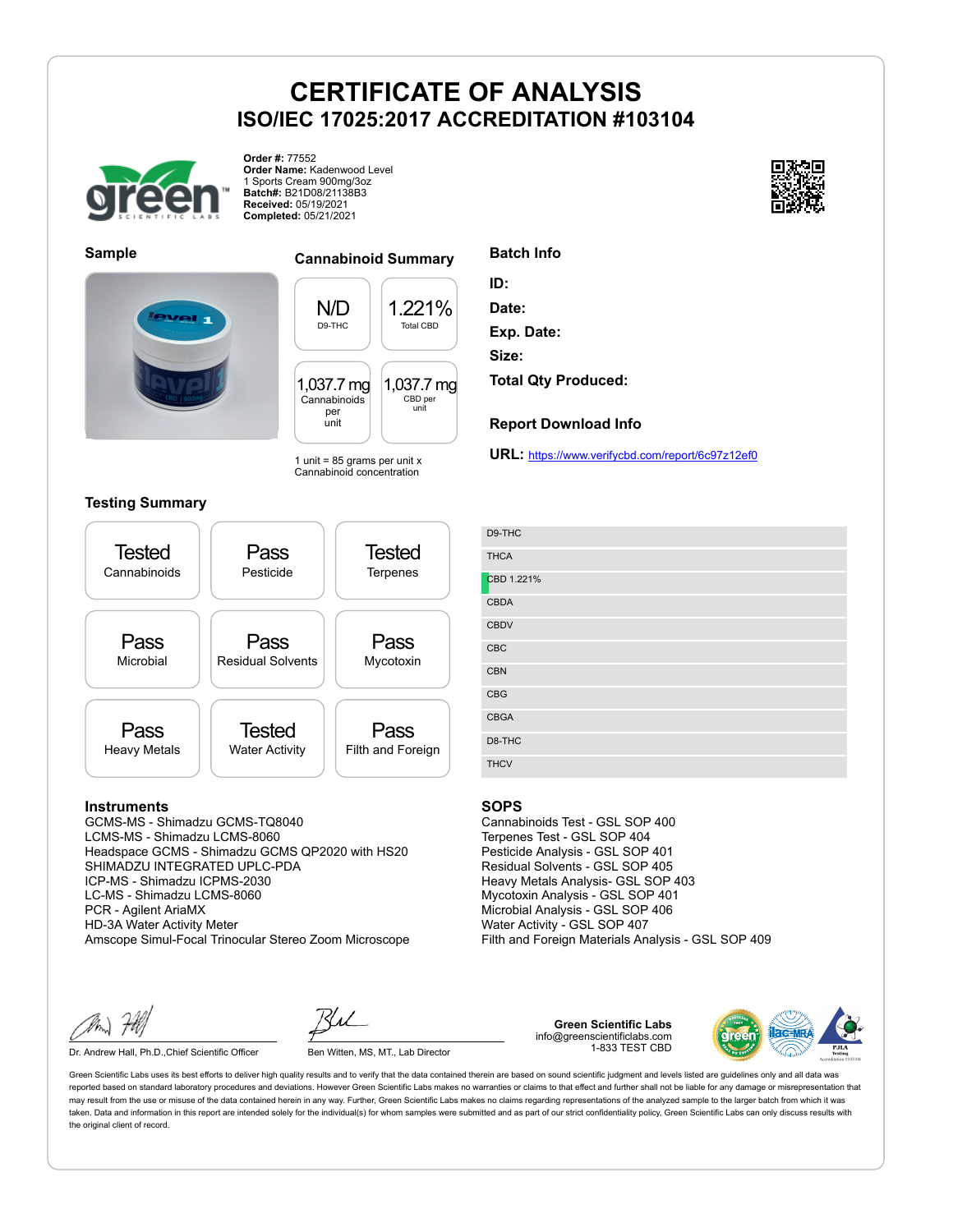

**Order #:** 77552 **Order Name:** Kadenwood Level 1 Sports Cream 900mg/3oz **Batch#:** B21D08/21138B3 **Received:** 05/19/2021 **Completed:** 05/21/2021





**Sample Cannabinoid Summary**

N/D D9-THC 1.221% Total CBD 1,037.7 mg Cannabinoids per unit 1,037.7 mg CBD per unit

1 unit =  $85$  grams per unit x Cannabinoid concentration

## **Testing Summary**



#### **Instruments**

GCMS-MS - Shimadzu GCMS-TQ8040 LCMS-MS - Shimadzu LCMS-8060 Headspace GCMS - Shimadzu GCMS QP2020 with HS20 SHIMADZU INTEGRATED UPLC-PDA ICP-MS - Shimadzu ICPMS-2030 LC-MS - Shimadzu LCMS-8060 PCR - Agilent AriaMX HD-3A Water Activity Meter Amscope Simul-Focal Trinocular Stereo Zoom Microscope

Dr. Andrew Hall, Ph.D., Chief Scientific Officer Ben Witten, MS, MT., Lab Director

**Green Scientific Labs** info@greenscientificlabs.com 1-833 TEST CBD



Green Scientific Labs uses its best efforts to deliver high quality results and to verify that the data contained therein are based on sound scientific judgment and levels listed are guidelines only and all data was reported based on standard laboratory procedures and deviations. However Green Scientific Labs makes no warranties or claims to that effect and further shall not be liable for any damage or misrepresentation that may result from the use or misuse of the data contained herein in any way. Further, Green Scientific Labs makes no claims regarding representations of the analyzed sample to the larger batch from which it was taken. Data and information in this report are intended solely for the individual(s) for whom samples were submitted and as part of our strict confidentiality policy, Green Scientific Labs can only discuss results with the original client of record.

## **Batch Info**

**ID:**

**Date:**

**Exp. Date:**

**Size:**

**Total Qty Produced:**

#### **Report Download Info**

**URL:** https://www.verifycbd.com/report/6c97z12ef0

| D9-THC      |
|-------------|
| <b>THCA</b> |
| CBD 1.221%  |
| <b>CBDA</b> |
| <b>CBDV</b> |
| CBC         |
| CBN         |
| CBG         |
| <b>CBGA</b> |
| D8-THC      |
| <b>THCV</b> |

#### **SOPS**

Cannabinoids Test - GSL SOP 400 Terpenes Test - GSL SOP 404 Pesticide Analysis - GSL SOP 401 Residual Solvents - GSL SOP 405 Heavy Metals Analysis- GSL SOP 403 Mycotoxin Analysis - GSL SOP 401 Microbial Analysis - GSL SOP 406 Water Activity - GSL SOP 407 Filth and Foreign Materials Analysis - GSL SOP 409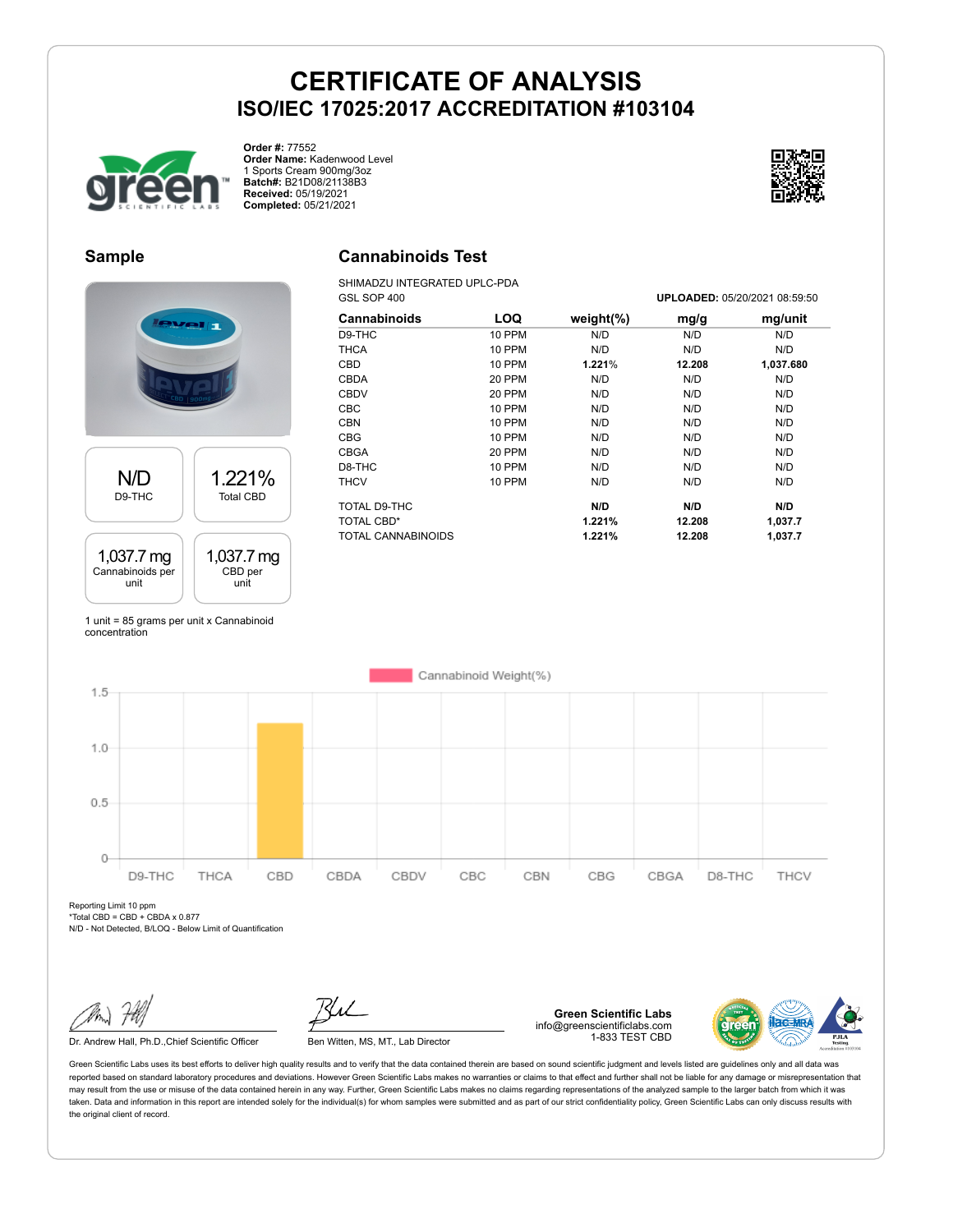

**Order #:** 77552 **Order Name:** Kadenwood Level 1 Sports Cream 900mg/3oz **Batch#:** B21D08/21138B3 **Received:** 05/19/2021 **Completed:** 05/21/2021

## **Sample**

## **Cannabinoids Test**

SHIMADZU INTEGRATED UPLC-PDA

N/D D9-THC 1.221% Total CBD 1,037.7 mg Cannabinoids per 1,037.7 mg CBD per

unit unit

1 unit = 85 grams per unit x Cannabinoid concentration

| Cannabinoids       | LOQ           | weight $(\%)$ | mg/g   | mg/unit   |
|--------------------|---------------|---------------|--------|-----------|
| D9-THC             | 10 PPM        | N/D           | N/D    | N/D       |
| THCA               | <b>10 PPM</b> | N/D           | N/D    | N/D       |
| <b>CBD</b>         | 10 PPM        | 1.221%        | 12.208 | 1,037.680 |
| CBDA               | 20 PPM        | N/D           | N/D    | N/D       |
| <b>CBDV</b>        | 20 PPM        | N/D           | N/D    | N/D       |
| <b>CBC</b>         | 10 PPM        | N/D           | N/D    | N/D       |
| <b>CBN</b>         | 10 PPM        | N/D           | N/D    | N/D       |
| <b>CBG</b>         | 10 PPM        | N/D           | N/D    | N/D       |
| CBGA               | 20 PPM        | N/D           | N/D    | N/D       |
| D8-THC             | 10 PPM        | N/D           | N/D    | N/D       |
| THCV               | 10 PPM        | N/D           | N/D    | N/D       |
| TOTAL D9-THC       |               | N/D           | N/D    | N/D       |
| <b>TOTAL CBD*</b>  |               | 1.221%        | 12.208 | 1,037.7   |
| TOTAL CANNABINOIDS |               | 1.221%        | 12.208 | 1.037.7   |

GSL SOP 400 **UPLOADED:** 05/20/2021 08:59:50

Cannabinoid Weight(%)  $1.5$  $1.0$  $0.5$  $\circ$ D9-THC THCA CBD CBDA CBDV CBC CBN CBG CBGA D8-THC THCV

Reporting Limit 10 ppm  $*Total CBD = CBD + CBDA \times 0.877$ 

N/D - Not Detected, B/LOQ - Below Limit of Quantification

**Green Scientific Labs** info@greenscientificlabs.com 1-833 TEST CBD



Green Scientific Labs uses its best efforts to deliver high quality results and to verify that the data contained therein are based on sound scientific judgment and levels listed are guidelines only and all data was reported based on standard laboratory procedures and deviations. However Green Scientific Labs makes no warranties or claims to that effect and further shall not be liable for any damage or misrepresentation that may result from the use or misuse of the data contained herein in any way. Further, Green Scientific Labs makes no claims regarding representations of the analyzed sample to the larger batch from which it was taken. Data and information in this report are intended solely for the individual(s) for whom samples were submitted and as part of our strict confidentiality policy, Green Scientific Labs can only discuss results with the original client of record.



Dr. Andrew Hall, Ph.D., Chief Scientific Officer Ben Witten, MS, MT., Lab Director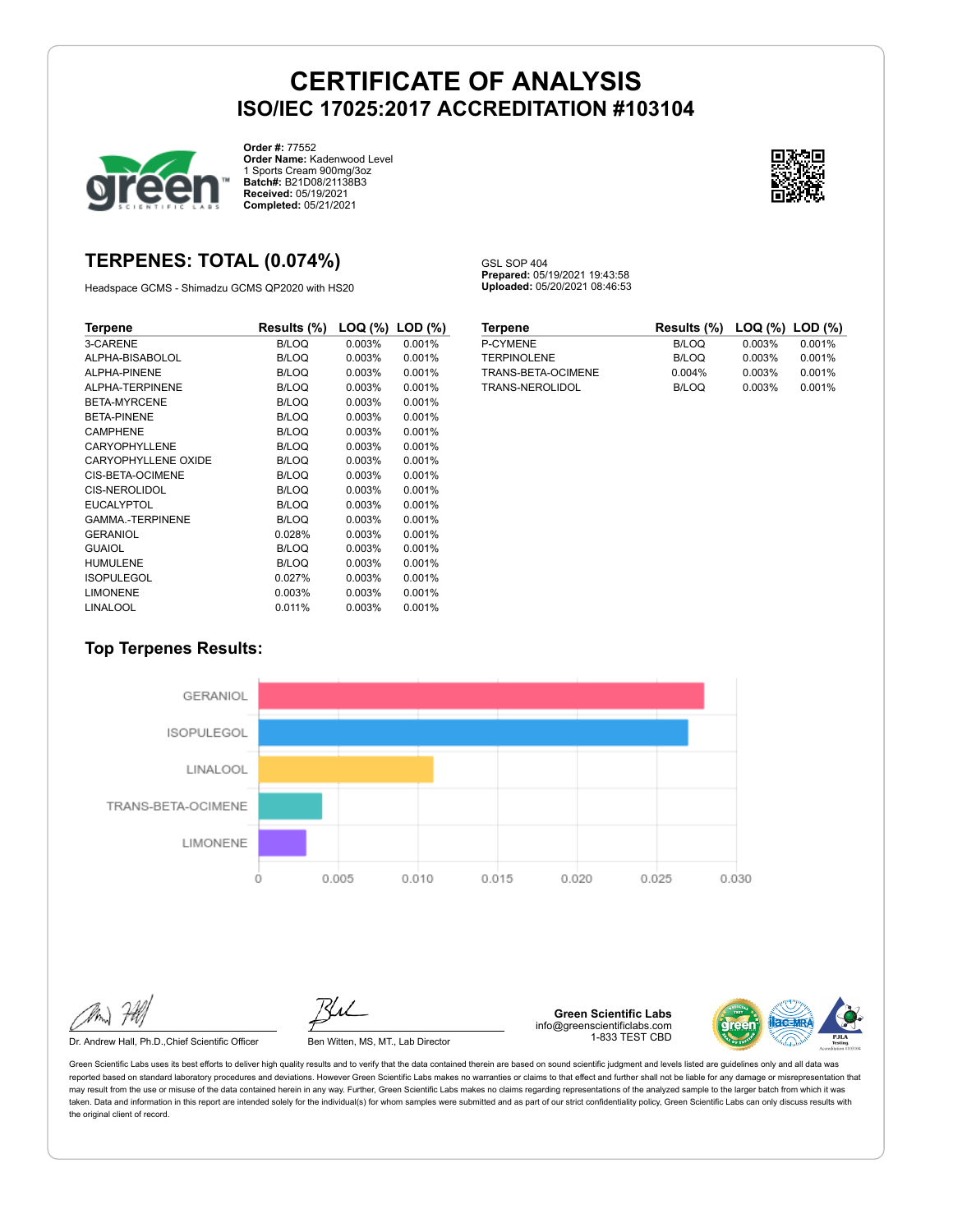GSL SOP 404

**Prepared:** 05/19/2021 19:43:58 **Uploaded:** 05/20/2021 08:46:53



**Order #:** 77552 **Order Name:** Kadenwood Level 1 Sports Cream 900mg/3oz **Batch#:** B21D08/21138B3 **Received:** 05/19/2021 **Completed:** 05/21/2021



## **TERPENES: TOTAL (0.074%)**

Headspace GCMS - Shimadzu GCMS QP2020 with HS20

| Terpene                 | Results (%)  | $\textsf{LOQ}$ (%) $\textsf{LOD}$ (%) |        |
|-------------------------|--------------|---------------------------------------|--------|
| 3-CARENE                | <b>B/LOQ</b> | 0.003%                                | 0.001% |
| ALPHA-BISABOLOL         | <b>B/LOQ</b> | 0.003%                                | 0.001% |
| ALPHA-PINENE            | <b>B/LOQ</b> | 0.003%                                | 0.001% |
| ALPHA-TERPINENE         | <b>B/LOQ</b> | 0.003%                                | 0.001% |
| <b>BETA-MYRCENE</b>     | <b>B/LOQ</b> | 0.003%                                | 0.001% |
| BETA-PINENE             | <b>B/LOQ</b> | 0.003%                                | 0.001% |
| <b>CAMPHENE</b>         | <b>B/LOQ</b> | 0.003%                                | 0.001% |
| <b>CARYOPHYLLENE</b>    | <b>B/LOQ</b> | 0.003%                                | 0.001% |
| CARYOPHYLLENE OXIDE     | <b>B/LOQ</b> | 0.003%                                | 0.001% |
| <b>CIS-BETA-OCIMENE</b> | <b>B/LOQ</b> | 0.003%                                | 0.001% |
| CIS-NEROLIDOL           | <b>B/LOQ</b> | 0.003%                                | 0.001% |
| <b>EUCALYPTOL</b>       | <b>B/LOQ</b> | 0.003%                                | 0.001% |
| <b>GAMMA-TERPINENE</b>  | <b>B/LOQ</b> | 0.003%                                | 0.001% |
| GERANIOL                | 0.028%       | 0.003%                                | 0.001% |
| GUAIOL                  | <b>B/LOQ</b> | 0.003%                                | 0.001% |
| <b>HUMULENE</b>         | <b>B/LOQ</b> | 0.003%                                | 0.001% |
| <b>ISOPULEGOL</b>       | 0.027%       | 0.003%                                | 0.001% |
| <b>LIMONENE</b>         | 0.003%       | 0.003%                                | 0.001% |
| LINALOOL                | 0.011%       | 0.003%                                | 0.001% |

| <b>Terpene</b>     | Results (%) LOQ (%) LOD (%) |        |        |
|--------------------|-----------------------------|--------|--------|
| P-CYMENE           | B/LOQ                       | 0.003% | 0.001% |
| <b>TERPINOLENE</b> | B/LOQ                       | 0.003% | 0.001% |
| TRANS-BETA-OCIMENE | $0.004\%$                   | 0.003% | 0.001% |
| TRANS-NEROLIDOL    | B/LOQ                       | 0.003% | 0.001% |

## **Top Terpenes Results:**



Dr. Andrew Hall, Ph.D., Chief Scientific Officer Ben Witten, MS, MT., Lab Director

**Green Scientific Labs** info@greenscientificlabs.com 1-833 TEST CBD

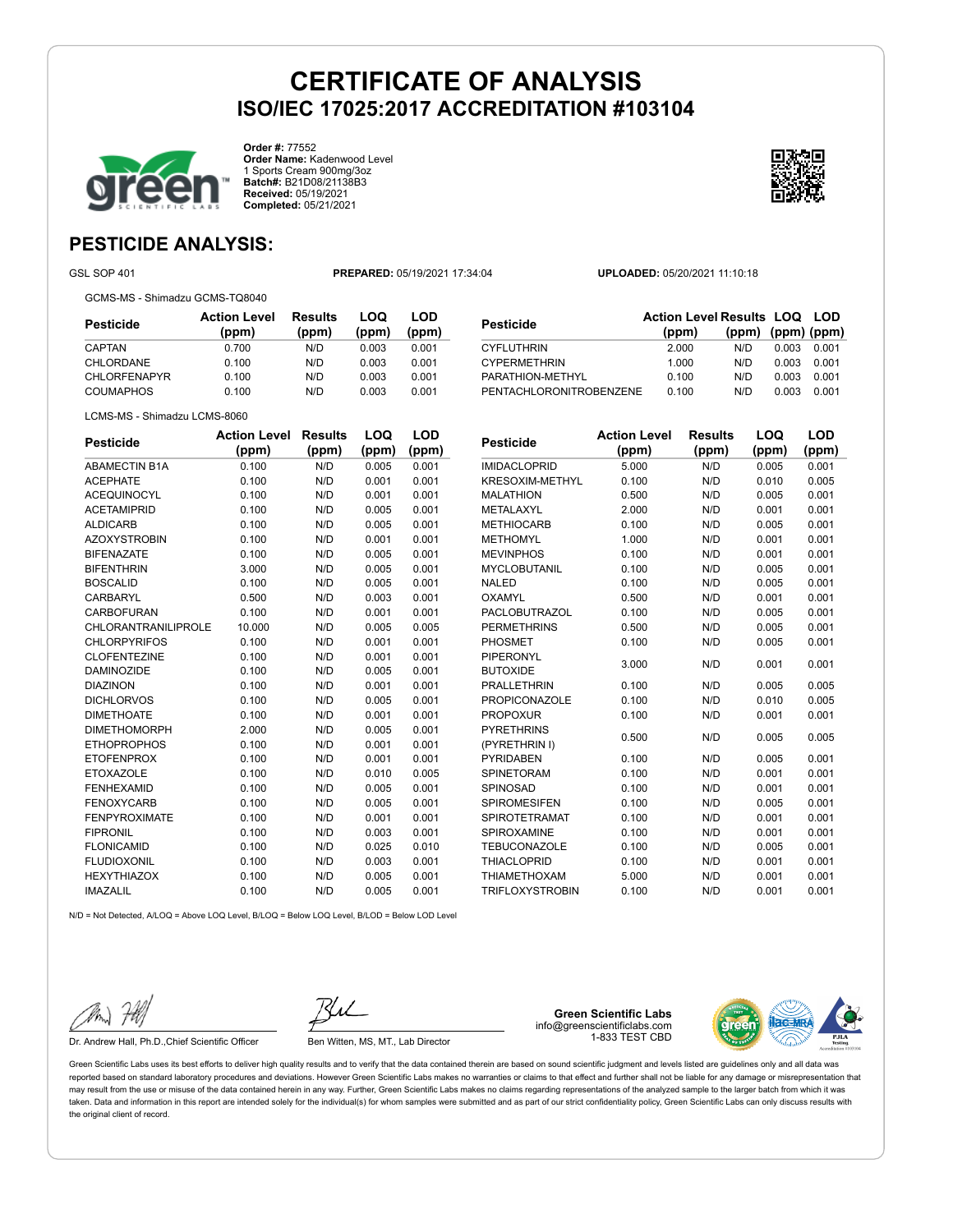

**Order #:** 77552 **Order Name:** Kadenwood Level 1 Sports Cream 900mg/3oz **Batch#:** B21D08/21138B3 **Received:** 05/19/2021 **Completed:** 05/21/2021



## **PESTICIDE ANALYSIS:**

GSL SOP 401 **PREPARED:** 05/19/2021 17:34:04 **UPLOADED:** 05/20/2021 11:10:18

GCMS-MS - Shimadzu GCMS-TQ8040

**Pesticide Action Level (ppm) Results (ppm) LOQ (ppm) LOD (ppm)** CAPTAN 0.700 N/D 0.003 0.001 CHLORDANE 0.100 N/D 0.003 0.001 CHLORFENAPYR 0.100 N/D 0.003 0.001 COUMAPHOS 0.100 N/D 0.003 0.001

| <b>Pesticide</b>        | <b>Action Level Results LOQ LOD</b><br>(ppm) | (ppm) | $(ppm)$ (ppm) |       |
|-------------------------|----------------------------------------------|-------|---------------|-------|
| <b>CYFLUTHRIN</b>       | 2.000                                        | N/D   | 0.003         | 0.001 |
| <b>CYPERMETHRIN</b>     | 1.000                                        | N/D   | 0.003         | 0.001 |
| PARATHION-METHYL        | 0.100                                        | N/D   | 0.003         | 0.001 |
| PENTACHLORONITROBENZENE | 0.100                                        | N/D   | 0.003         | 0.001 |

|  | LCMS-MS - Shimadzu LCMS-8060 |
|--|------------------------------|

| <b>Pesticide</b>     | <b>Action Level</b> | <b>Results</b> | LOQ   | LOD   |
|----------------------|---------------------|----------------|-------|-------|
|                      | (ppm)               | (ppm)          | (ppm) | (ppm) |
| <b>ABAMECTIN B1A</b> | 0.100               | N/D            | 0.005 | 0.001 |
| <b>ACEPHATE</b>      | 0.100               | N/D            | 0.001 | 0.001 |
| <b>ACEQUINOCYL</b>   | 0.100               | N/D            | 0.001 | 0.001 |
| <b>ACETAMIPRID</b>   | 0.100               | N/D            | 0.005 | 0.001 |
| <b>ALDICARB</b>      | 0.100               | N/D            | 0.005 | 0.001 |
| <b>AZOXYSTROBIN</b>  | 0.100               | N/D            | 0.001 | 0.001 |
| <b>BIFENAZATE</b>    | 0.100               | N/D            | 0.005 | 0.001 |
| <b>BIFENTHRIN</b>    | 3.000               | N/D            | 0.005 | 0.001 |
| <b>BOSCALID</b>      | 0.100               | N/D            | 0.005 | 0.001 |
| CARBARYL             | 0.500               | N/D            | 0.003 | 0.001 |
| CARBOFURAN           | 0.100               | N/D            | 0.001 | 0.001 |
| CHLORANTRANILIPROLE  | 10.000              | N/D            | 0.005 | 0.005 |
| <b>CHLORPYRIFOS</b>  | 0.100               | N/D            | 0.001 | 0.001 |
| <b>CLOFENTEZINE</b>  | 0.100               | N/D            | 0.001 | 0.001 |
| <b>DAMINOZIDE</b>    | 0.100               | N/D            | 0.005 | 0.001 |
| <b>DIAZINON</b>      | 0.100               | N/D            | 0.001 | 0.001 |
| <b>DICHLORVOS</b>    | 0.100               | N/D            | 0.005 | 0.001 |
| <b>DIMETHOATE</b>    | 0.100               | N/D            | 0.001 | 0.001 |
| <b>DIMETHOMORPH</b>  | 2.000               | N/D            | 0.005 | 0.001 |
| <b>ETHOPROPHOS</b>   | 0.100               | N/D            | 0.001 | 0.001 |
| <b>ETOFENPROX</b>    | 0.100               | N/D            | 0.001 | 0.001 |
| <b>ETOXAZOLE</b>     | 0.100               | N/D            | 0.010 | 0.005 |
| <b>FENHEXAMID</b>    | 0.100               | N/D            | 0.005 | 0.001 |
| <b>FENOXYCARB</b>    | 0.100               | N/D            | 0.005 | 0.001 |
| <b>FENPYROXIMATE</b> | 0.100               | N/D            | 0.001 | 0.001 |
| <b>FIPRONIL</b>      | 0.100               | N/D            | 0.003 | 0.001 |
| <b>FLONICAMID</b>    | 0.100               | N/D            | 0.025 | 0.010 |
| <b>FLUDIOXONIL</b>   | 0.100               | N/D            | 0.003 | 0.001 |
| <b>HEXYTHIAZOX</b>   | 0.100               | N/D            | 0.005 | 0.001 |
| <b>IMAZALIL</b>      | 0.100               | N/D            | 0.005 | 0.001 |

| <b>Pesticide</b>       | <b>Action Level</b> | <b>Results</b> | LOQ   | LOD   |
|------------------------|---------------------|----------------|-------|-------|
|                        | (ppm)               | (ppm)          | (ppm) | (ppm) |
| <b>IMIDACLOPRID</b>    | 5.000               | N/D            | 0.005 | 0.001 |
| <b>KRESOXIM-METHYL</b> | 0.100               | N/D            | 0.010 | 0.005 |
| <b>MALATHION</b>       | 0.500               | N/D            | 0.005 | 0.001 |
| <b>METALAXYL</b>       | 2.000               | N/D            | 0.001 | 0.001 |
| <b>METHIOCARB</b>      | 0.100               | N/D            | 0.005 | 0.001 |
| <b>METHOMYL</b>        | 1.000               | N/D            | 0.001 | 0.001 |
| <b>MEVINPHOS</b>       | 0.100               | N/D            | 0.001 | 0.001 |
| <b>MYCLOBUTANIL</b>    | 0.100               | N/D            | 0.005 | 0.001 |
| <b>NALED</b>           | 0.100               | N/D            | 0.005 | 0.001 |
| <b>OXAMYL</b>          | 0.500               | N/D            | 0.001 | 0.001 |
| <b>PACLOBUTRAZOL</b>   | 0.100               | N/D            | 0.005 | 0.001 |
| <b>PERMETHRINS</b>     | 0.500               | N/D            | 0.005 | 0.001 |
| <b>PHOSMET</b>         | 0.100               | N/D            | 0.005 | 0.001 |
| <b>PIPERONYL</b>       |                     |                |       |       |
| <b>BUTOXIDE</b>        | 3.000               | N/D            | 0.001 | 0.001 |
| <b>PRALLETHRIN</b>     | 0.100               | N/D            | 0.005 | 0.005 |
| <b>PROPICONAZOLE</b>   | 0.100               | N/D            | 0.010 | 0.005 |
| <b>PROPOXUR</b>        | 0.100               | N/D            | 0.001 | 0.001 |
| <b>PYRETHRINS</b>      | 0.500               | N/D            | 0.005 | 0.005 |
| (PYRETHRIN I)          |                     |                |       |       |
| <b>PYRIDABEN</b>       | 0.100               | N/D            | 0.005 | 0.001 |
| <b>SPINETORAM</b>      | 0.100               | N/D            | 0.001 | 0.001 |
| SPINOSAD               | 0.100               | N/D            | 0.001 | 0.001 |
| <b>SPIROMESIFEN</b>    | 0.100               | N/D            | 0.005 | 0.001 |
| <b>SPIROTETRAMAT</b>   | 0.100               | N/D            | 0.001 | 0.001 |
| SPIROXAMINE            | 0.100               | N/D            | 0.001 | 0.001 |
| TEBUCONAZOLE           | 0.100               | N/D            | 0.005 | 0.001 |
| <b>THIACLOPRID</b>     | 0.100               | N/D            | 0.001 | 0.001 |
| <b>THIAMETHOXAM</b>    | 5.000               | N/D            | 0.001 | 0.001 |
| <b>TRIFLOXYSTROBIN</b> | 0.100               | N/D            | 0.001 | 0.001 |

N/D = Not Detected, A/LOQ = Above LOQ Level, B/LOQ = Below LOQ Level, B/LOD = Below LOD Level

Dr. Andrew Hall, Ph.D., Chief Scientific Officer Ben Witten, MS, MT., Lab Director

**Green Scientific Labs** info@greenscientificlabs.com 1-833 TEST CBD

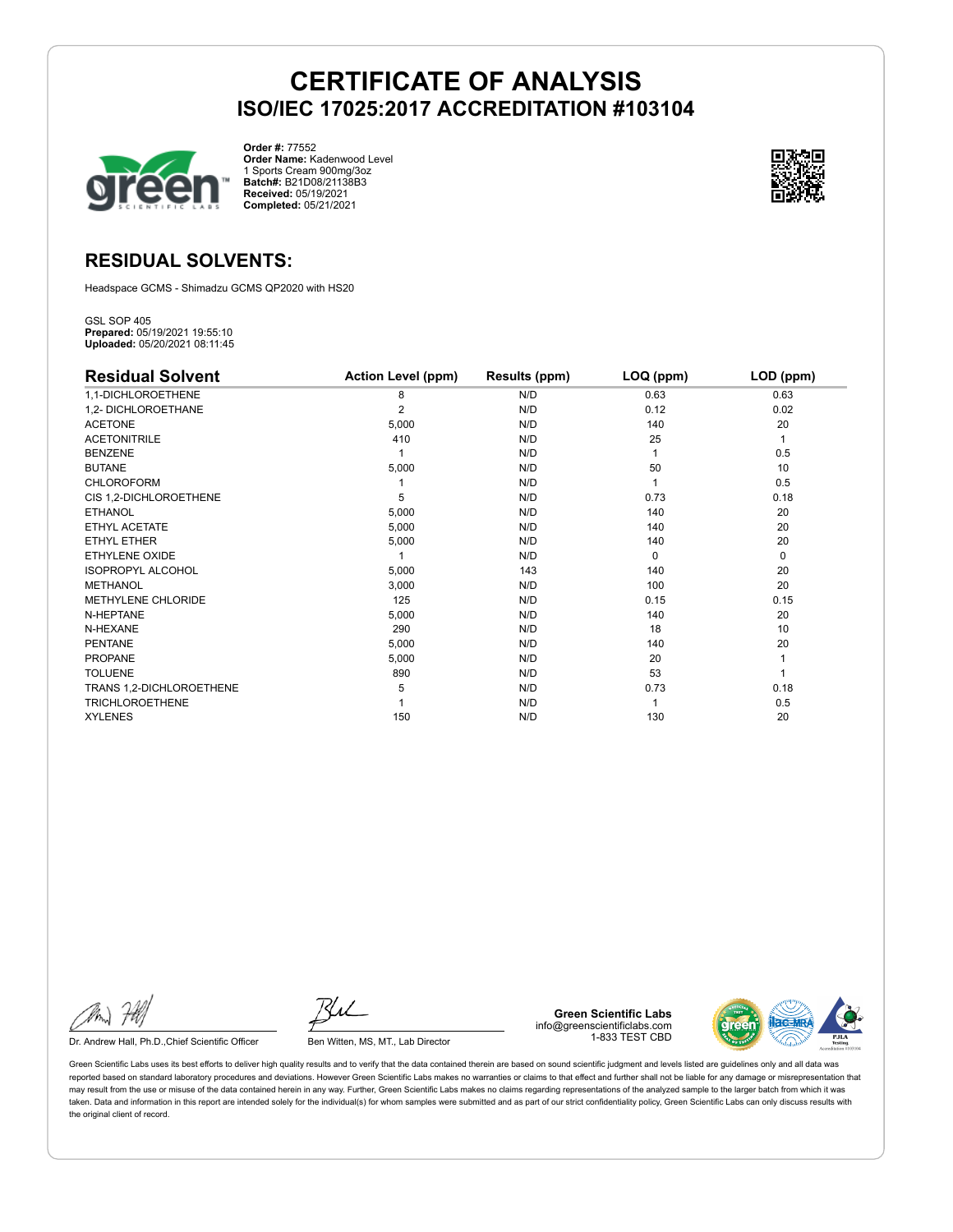

**Order #:** 77552 **Order Name:** Kadenwood Level 1 Sports Cream 900mg/3oz **Batch#:** B21D08/21138B3 **Received:** 05/19/2021 **Completed:** 05/21/2021



## **RESIDUAL SOLVENTS:**

Headspace GCMS - Shimadzu GCMS QP2020 with HS20

GSL SOP 405 **Prepared:** 05/19/2021 19:55:10 **Uploaded:** 05/20/2021 08:11:45

| <b>Residual Solvent</b>  | <b>Action Level (ppm)</b> | Results (ppm) | LOQ (ppm) | LOD (ppm) |
|--------------------------|---------------------------|---------------|-----------|-----------|
| 1,1-DICHLOROETHENE       | 8                         | N/D           | 0.63      | 0.63      |
| 1,2- DICHLOROETHANE      | $\overline{2}$            | N/D           | 0.12      | 0.02      |
| <b>ACETONE</b>           | 5,000                     | N/D           | 140       | 20        |
| <b>ACETONITRILE</b>      | 410                       | N/D           | 25        | 1         |
| <b>BENZENE</b>           |                           | N/D           |           | 0.5       |
| <b>BUTANE</b>            | 5,000                     | N/D           | 50        | 10        |
| <b>CHLOROFORM</b>        |                           | N/D           |           | 0.5       |
| CIS 1,2-DICHLOROETHENE   | 5                         | N/D           | 0.73      | 0.18      |
| <b>ETHANOL</b>           | 5,000                     | N/D           | 140       | 20        |
| ETHYL ACETATE            | 5,000                     | N/D           | 140       | 20        |
| <b>ETHYL ETHER</b>       | 5,000                     | N/D           | 140       | 20        |
| ETHYLENE OXIDE           |                           | N/D           | $\Omega$  | 0         |
| <b>ISOPROPYL ALCOHOL</b> | 5,000                     | 143           | 140       | 20        |
| <b>METHANOL</b>          | 3,000                     | N/D           | 100       | 20        |
| METHYLENE CHLORIDE       | 125                       | N/D           | 0.15      | 0.15      |
| N-HEPTANE                | 5,000                     | N/D           | 140       | 20        |
| N-HEXANE                 | 290                       | N/D           | 18        | 10        |
| <b>PENTANE</b>           | 5,000                     | N/D           | 140       | 20        |
| <b>PROPANE</b>           | 5,000                     | N/D           | 20        |           |
| <b>TOLUENE</b>           | 890                       | N/D           | 53        |           |
| TRANS 1,2-DICHLOROETHENE | 5                         | N/D           | 0.73      | 0.18      |
| <b>TRICHLOROETHENE</b>   |                           | N/D           |           | 0.5       |
| <b>XYLENES</b>           | 150                       | N/D           | 130       | 20        |

Dr. Andrew Hall, Ph.D., Chief Scientific Officer Ben Witten, MS, MT., Lab Director

**Green Scientific Labs** info@greenscientificlabs.com 1-833 TEST CBD

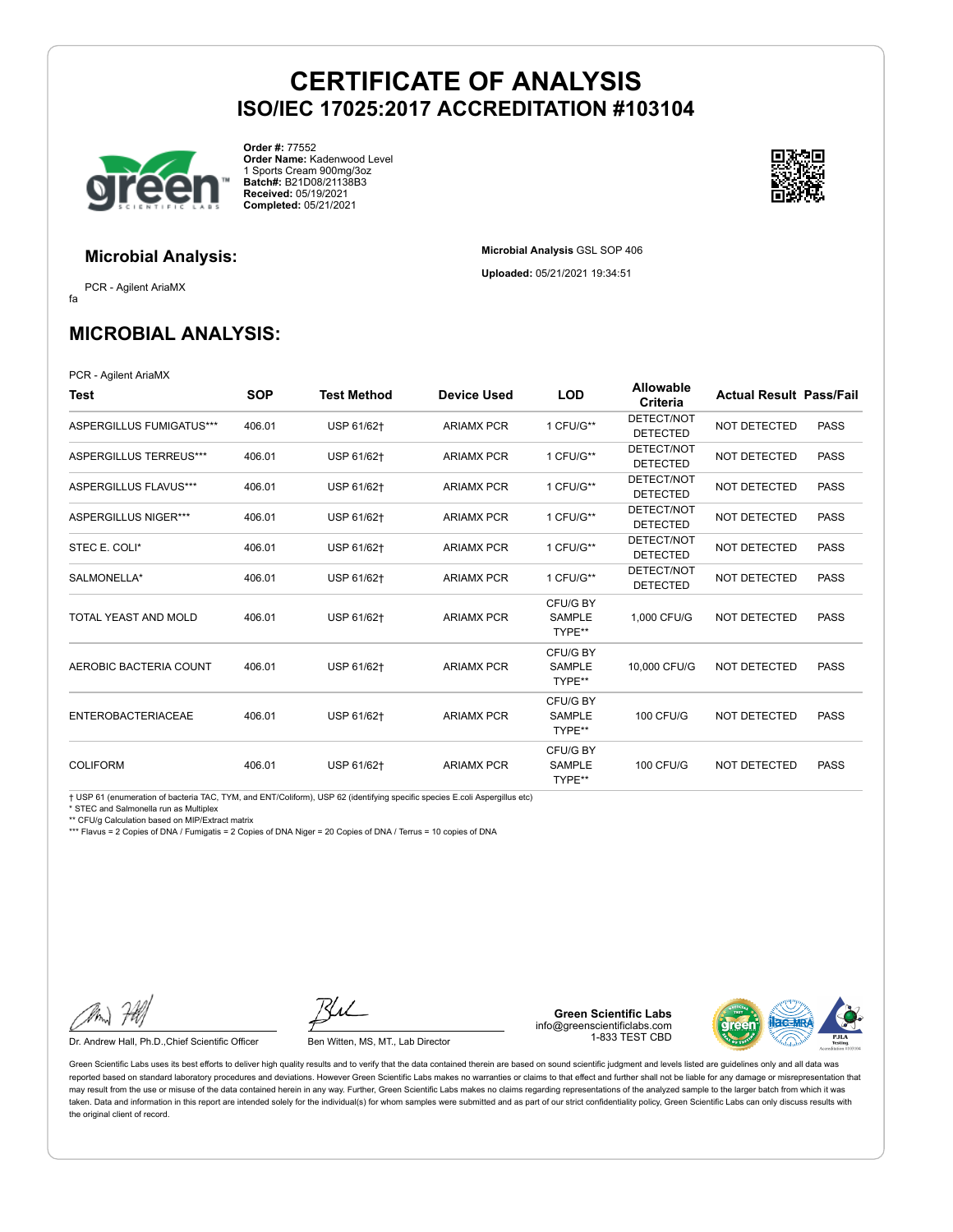**Microbial Analysis** GSL SOP 406 **Uploaded:** 05/21/2021 19:34:51



**Order #:** 77552 **Order Name:** Kadenwood Level 1 Sports Cream 900mg/3oz **Batch#:** B21D08/21138B3 **Received:** 05/19/2021 **Completed:** 05/21/2021



## **Microbial Analysis:**

fa PCR - Agilent AriaMX

**MICROBIAL ANALYSIS:**

PCR - Agilent AriaMX

| Test                          | <b>SOP</b> | <b>Test Method</b> | <b>Device Used</b> | <b>LOD</b>                          | <b>Allowable</b><br>Criteria  | <b>Actual Result Pass/Fail</b> |             |
|-------------------------------|------------|--------------------|--------------------|-------------------------------------|-------------------------------|--------------------------------|-------------|
| ASPERGILLUS FUMIGATUS***      | 406.01     | USP 61/62+         | <b>ARIAMX PCR</b>  | 1 CFU/G**                           | DETECT/NOT<br><b>DETECTED</b> | <b>NOT DETECTED</b>            | <b>PASS</b> |
| <b>ASPERGILLUS TERREUS***</b> | 406.01     | USP 61/62+         | <b>ARIAMX PCR</b>  | 1 CFU/G**                           | DETECT/NOT<br><b>DETECTED</b> | <b>NOT DETECTED</b>            | <b>PASS</b> |
| ASPERGILLUS FLAVUS***         | 406.01     | USP 61/62+         | <b>ARIAMX PCR</b>  | 1 CFU/G**                           | DETECT/NOT<br><b>DETECTED</b> | <b>NOT DETECTED</b>            | <b>PASS</b> |
| ASPERGILLUS NIGER***          | 406.01     | USP 61/62†         | <b>ARIAMX PCR</b>  | 1 CFU/G**                           | DETECT/NOT<br><b>DETECTED</b> | <b>NOT DETECTED</b>            | <b>PASS</b> |
| STEC E. COLI*                 | 406.01     | USP 61/62+         | <b>ARIAMX PCR</b>  | 1 CFU/G**                           | DETECT/NOT<br><b>DETECTED</b> | NOT DETECTED                   | <b>PASS</b> |
| SALMONELLA*                   | 406.01     | USP 61/62+         | <b>ARIAMX PCR</b>  | 1 CFU/G**                           | DETECT/NOT<br><b>DETECTED</b> | <b>NOT DETECTED</b>            | <b>PASS</b> |
| TOTAL YEAST AND MOLD          | 406.01     | USP 61/62+         | <b>ARIAMX PCR</b>  | CFU/G BY<br><b>SAMPLE</b><br>TYPE** | 1.000 CFU/G                   | <b>NOT DETECTED</b>            | <b>PASS</b> |
| AEROBIC BACTERIA COUNT        | 406.01     | USP 61/62+         | <b>ARIAMX PCR</b>  | CFU/G BY<br><b>SAMPLE</b><br>TYPE** | 10,000 CFU/G                  | <b>NOT DETECTED</b>            | <b>PASS</b> |
| <b>ENTEROBACTERIACEAE</b>     | 406.01     | USP 61/62+         | <b>ARIAMX PCR</b>  | CFU/G BY<br><b>SAMPLE</b><br>TYPE** | <b>100 CFU/G</b>              | <b>NOT DETECTED</b>            | <b>PASS</b> |
| <b>COLIFORM</b>               | 406.01     | USP 61/62+         | <b>ARIAMX PCR</b>  | CFU/G BY<br><b>SAMPLE</b><br>TYPE** | <b>100 CFU/G</b>              | <b>NOT DETECTED</b>            | <b>PASS</b> |

† USP 61 (enumeration of bacteria TAC, TYM, and ENT/Coliform), USP 62 (identifying specific species E.coli Aspergillus etc)

\* STEC and Salmonella run as Multiplex

\*\* CFU/g Calculation based on MIP/Extract matrix

\*\*\* Flavus = 2 Copies of DNA / Fumigatis = 2 Copies of DNA Niger = 20 Copies of DNA / Terrus = 10 copies of DNA

Dr. Andrew Hall, Ph.D., Chief Scientific Officer Ben Witten, MS, MT., Lab Director

**Green Scientific Labs** info@greenscientificlabs.com 1-833 TEST CBD